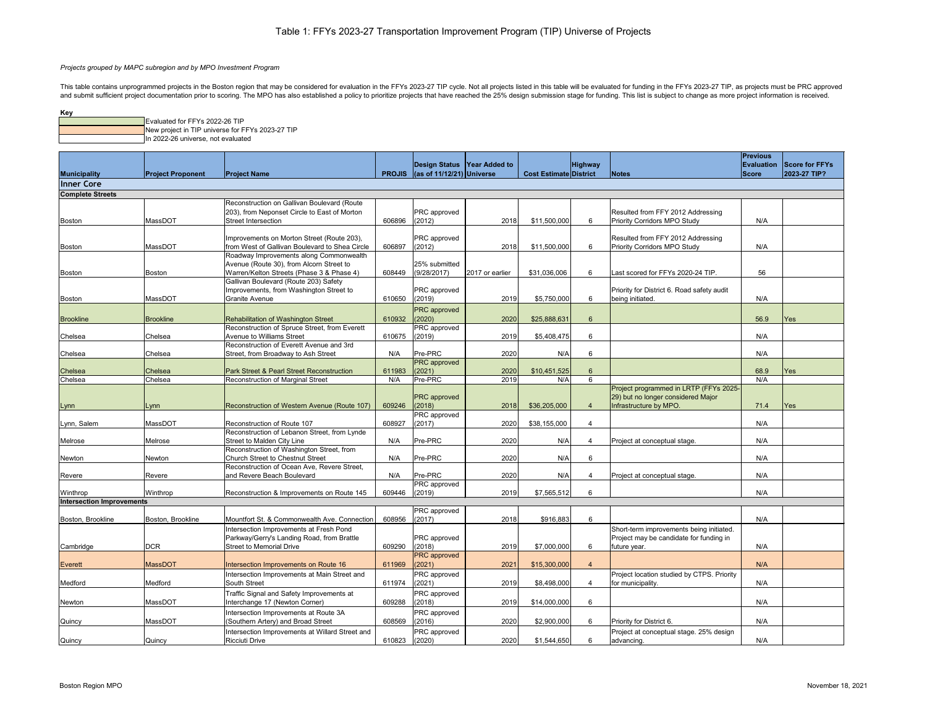| ney |                                                  |
|-----|--------------------------------------------------|
|     | Evaluated for FFYs 2022-26 TIP                   |
|     | New project in TIP universe for FFYs 2023-27 TIP |
|     | In 2022-26 universe, not evaluated               |

|                                  |                          |                                                                                              |               |                                            |                             |                               |                           |                                                                          | <b>Previous</b> |                                  |
|----------------------------------|--------------------------|----------------------------------------------------------------------------------------------|---------------|--------------------------------------------|-----------------------------|-------------------------------|---------------------------|--------------------------------------------------------------------------|-----------------|----------------------------------|
|                                  |                          |                                                                                              |               |                                            | Design Status Year Added to |                               | <b>Highway</b>            |                                                                          |                 | <b>Evaluation Score for FFYs</b> |
| <b>Municipality</b>              | <b>Project Proponent</b> | <b>Project Name</b>                                                                          | <b>PROJIS</b> | $\left  \right $ (as of 11/12/21) Universe |                             | <b>Cost Estimate District</b> |                           | Notes                                                                    | <b>Score</b>    | 2023-27 TIP?                     |
| <b>Inner Core</b>                |                          |                                                                                              |               |                                            |                             |                               |                           |                                                                          |                 |                                  |
| <b>Complete Streets</b>          |                          |                                                                                              |               |                                            |                             |                               |                           |                                                                          |                 |                                  |
|                                  |                          | Reconstruction on Gallivan Boulevard (Route                                                  |               |                                            |                             |                               |                           |                                                                          |                 |                                  |
|                                  |                          | 203), from Neponset Circle to East of Morton                                                 |               | PRC approved                               |                             |                               |                           | Resulted from FFY 2012 Addressing                                        |                 |                                  |
| Boston                           | MassDOT                  | Street Intersection                                                                          | 606896        | (2012)                                     | 2018                        | \$11,500,000                  | 6                         | <b>Priority Corridors MPO Study</b>                                      | N/A             |                                  |
|                                  |                          |                                                                                              |               |                                            |                             |                               |                           |                                                                          |                 |                                  |
| Boston                           | MassDOT                  | Improvements on Morton Street (Route 203),<br>from West of Gallivan Boulevard to Shea Circle | 606897        | PRC approved<br>(2012)                     | 2018                        | \$11,500,000                  | 6                         | Resulted from FFY 2012 Addressing<br><b>Priority Corridors MPO Study</b> | N/A             |                                  |
|                                  |                          | Roadway Improvements along Commonwealth                                                      |               |                                            |                             |                               |                           |                                                                          |                 |                                  |
|                                  |                          | Avenue (Route 30), from Alcorn Street to                                                     |               | 25% submitted                              |                             |                               |                           |                                                                          |                 |                                  |
| Boston                           | Boston                   | Warren/Kelton Streets (Phase 3 & Phase 4)                                                    | 608449        | (9/28/2017)                                | 2017 or earlier             | \$31,036,006                  | 6                         | Last scored for FFYs 2020-24 TIP.                                        | 56              |                                  |
|                                  |                          | Gallivan Boulevard (Route 203) Safety                                                        |               |                                            |                             |                               |                           |                                                                          |                 |                                  |
|                                  |                          | Improvements, from Washington Street to                                                      |               | PRC approved                               |                             |                               |                           | Priority for District 6. Road safety audit                               |                 |                                  |
| Boston                           | MassDOT                  | <b>Granite Avenue</b>                                                                        | 610650        | (2019)                                     | 2019                        | \$5,750,000                   | 6                         | being initiated.                                                         | N/A             |                                  |
|                                  |                          |                                                                                              |               | <b>PRC</b> approved                        |                             |                               |                           |                                                                          |                 |                                  |
| <b>Brookline</b>                 | <b>Brookline</b>         | Rehabilitation of Washington Street                                                          | 610932        | (2020)                                     | 2020                        | \$25,888,631                  | 6                         |                                                                          | 56.9            | Yes                              |
|                                  |                          | Reconstruction of Spruce Street, from Everett                                                |               | PRC approved                               |                             |                               |                           |                                                                          |                 |                                  |
| Chelsea                          | Chelsea                  | <b>Avenue to Williams Street</b>                                                             | 610675        | (2019)                                     | 2019                        | \$5,408,475                   | 6                         |                                                                          | N/A             |                                  |
|                                  |                          | Reconstruction of Everett Avenue and 3rd                                                     |               |                                            |                             |                               |                           |                                                                          |                 |                                  |
| Chelsea                          | Chelsea                  | Street, from Broadway to Ash Street                                                          | N/A           | Pre-PRC                                    | 2020                        | N/A                           | 6                         |                                                                          | N/A             |                                  |
| Chelsea                          | Chelsea                  | <b>Park Street &amp; Pearl Street Reconstruction</b>                                         | 611983        | <b>PRC</b> approved<br>(2021)              | 2020                        | \$10,451,525                  | -6                        |                                                                          | 68.9            | Yes                              |
| Chelsea                          | Chelsea                  | Reconstruction of Marginal Street                                                            | N/A           | Pre-PRC                                    | 2019                        | N/A                           | 6                         |                                                                          | N/A             |                                  |
|                                  |                          |                                                                                              |               |                                            |                             |                               |                           | Project programmed in LRTP (FFYs 2025-                                   |                 |                                  |
|                                  |                          |                                                                                              |               | <b>PRC</b> approved                        |                             |                               |                           | 29) but no longer considered Major                                       |                 |                                  |
| Lynn                             | .vnn                     | Reconstruction of Western Avenue (Route 107)                                                 | 609246        | (2018)                                     | 2018                        | \$36,205,000                  |                           | Infrastructure by MPO.                                                   | 71.4            | Yes                              |
|                                  |                          |                                                                                              |               | PRC approved                               |                             |                               |                           |                                                                          |                 |                                  |
| Lynn, Salem                      | MassDOT                  | Reconstruction of Route 107                                                                  | 608927        | (2017)                                     | 2020                        | \$38,155,000                  | $\boldsymbol{\varLambda}$ |                                                                          | N/A             |                                  |
|                                  |                          | Reconstruction of Lebanon Street, from Lynde                                                 |               |                                            |                             |                               |                           |                                                                          |                 |                                  |
| Melrose                          | Melrose                  | Street to Malden City Line                                                                   | N/A           | Pre-PRC                                    | 2020                        | N/A                           | 4                         | Project at conceptual stage.                                             | N/A             |                                  |
|                                  |                          | Reconstruction of Washington Street, from                                                    |               |                                            |                             |                               |                           |                                                                          |                 |                                  |
| Newton                           | Newton                   | Church Street to Chestnut Street                                                             | N/A           | Pre-PRC                                    | 2020                        | N/A                           | 6                         |                                                                          | N/A             |                                  |
| Revere                           | Revere                   | Reconstruction of Ocean Ave, Revere Street,<br>and Revere Beach Boulevard                    | N/A           | Pre-PRC                                    | 2020                        | N/A                           |                           | Project at conceptual stage.                                             | N/A             |                                  |
|                                  |                          |                                                                                              |               | <b>PRC</b> approved                        |                             |                               |                           |                                                                          |                 |                                  |
| Winthrop                         | Winthrop                 | Reconstruction & Improvements on Route 145                                                   | 609446        | (2019)                                     | 2019                        | \$7,565,512                   | 6                         |                                                                          | N/A             |                                  |
| <b>Intersection Improvements</b> |                          |                                                                                              |               |                                            |                             |                               |                           |                                                                          |                 |                                  |
|                                  |                          |                                                                                              |               | PRC approved                               |                             |                               |                           |                                                                          |                 |                                  |
| Boston, Brookline                | Boston, Brookline        | Mountfort St. & Commonwealth Ave. Connection                                                 | 608956        | (2017)                                     | 2018                        | \$916,883                     | 6                         |                                                                          | N/A             |                                  |
|                                  |                          | Intersection Improvements at Fresh Pond                                                      |               |                                            |                             |                               |                           | Short-term improvements being initiated.                                 |                 |                                  |
|                                  |                          | Parkway/Gerry's Landing Road, from Brattle                                                   |               | PRC approved                               |                             |                               |                           | Project may be candidate for funding in                                  |                 |                                  |
| Cambridge                        | <b>DCR</b>               | <b>Street to Memorial Drive</b>                                                              | 609290        | (2018)                                     | 2019                        | \$7,000,000                   | 6                         | future year.                                                             | N/A             |                                  |
|                                  |                          |                                                                                              |               | <b>PRC</b> approved                        |                             |                               | $\overline{4}$            |                                                                          | N/A             |                                  |
| Everett                          | <b>MassDOT</b>           | Intersection Improvements on Route 16                                                        | 611969        | (2021)                                     | 2021                        | \$15,300,000                  |                           |                                                                          |                 |                                  |
|                                  | Medford                  | Intersection Improvements at Main Street and<br><b>South Street</b>                          | 611974        | PRC approved                               | 2019                        | \$8,498,000                   |                           | Project location studied by CTPS. Priority<br>for municipality.          | N/A             |                                  |
| Medford                          |                          |                                                                                              |               | (2021)                                     |                             |                               |                           |                                                                          |                 |                                  |
|                                  | MassDOT                  | Traffic Signal and Safety Improvements at<br>Interchange 17 (Newton Corner)                  | 609288        | PRC approved<br>(2018)                     | 2019                        | \$14,000,000                  | 6                         |                                                                          | N/A             |                                  |
| Newton                           |                          |                                                                                              |               |                                            |                             |                               |                           |                                                                          |                 |                                  |
| Quincy                           | MassDOT                  | Intersection Improvements at Route 3A<br>(Southern Artery) and Broad Street                  | 608569        | PRC approved<br>(2016)                     | 2020                        | \$2,900,000                   | 6                         | Priority for District 6.                                                 | N/A             |                                  |
|                                  |                          |                                                                                              |               |                                            |                             |                               |                           |                                                                          |                 |                                  |
|                                  |                          | Intersection Improvements at Willard Street and<br><b>Ricciuti Drive</b>                     | 610823        | PRC approved<br>(2020)                     | 2020                        | \$1,544,650                   | 6                         | Project at conceptual stage. 25% design                                  | N/A             |                                  |
| Quincy                           | Quincy                   |                                                                                              |               |                                            |                             |                               |                           | advancing.                                                               |                 |                                  |

# *Projects grouped by MAPC subregion and by MPO Investment Program*

This table contains unprogrammed projects in the Boston region that may be considered for evaluation in the FFYs 2023-27 TIP cycle. Not all projects listed in this table will be evaluated for funding in the FFYs 2023-27 TI and submit sufficient project documentation prior to scoring. The MPO has also established a policy to prioritize projects that have reached the 25% design submission stage for funding. This list is subject to change as mo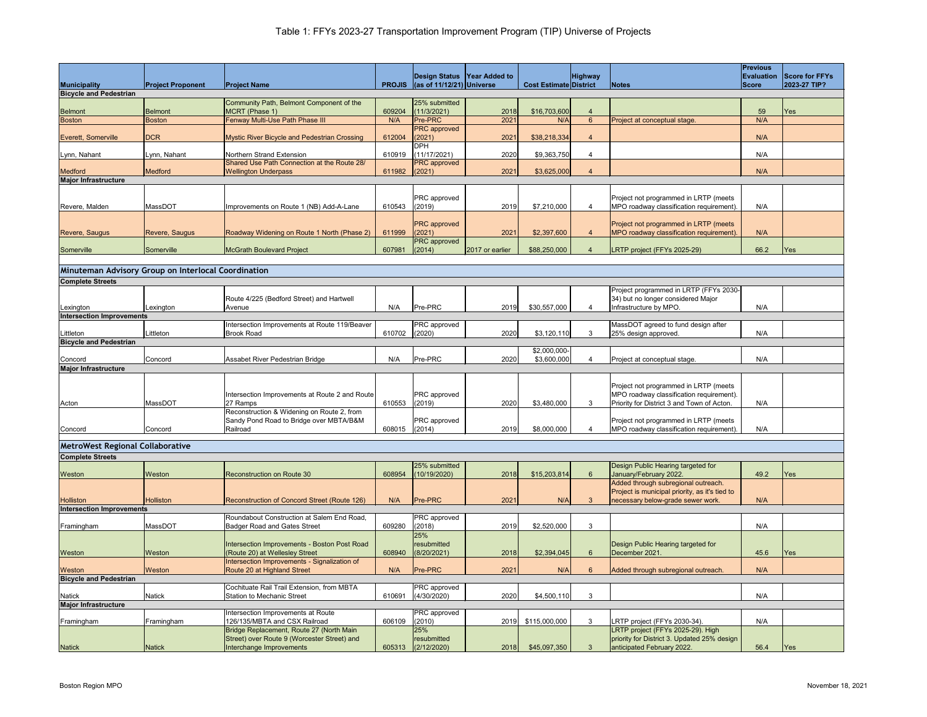|                                                      |                          |                                                                                         |               |                                            |                             |                               |                          |                                                                                        | <b>Previous</b>   |                |
|------------------------------------------------------|--------------------------|-----------------------------------------------------------------------------------------|---------------|--------------------------------------------|-----------------------------|-------------------------------|--------------------------|----------------------------------------------------------------------------------------|-------------------|----------------|
|                                                      |                          |                                                                                         |               |                                            | Design Status Year Added to |                               | <b>Highway</b>           |                                                                                        | <b>Evaluation</b> | Score for FFYs |
| <b>Municipality</b><br><b>Bicycle and Pedestrian</b> | <b>Project Proponent</b> | <b>Project Name</b>                                                                     | <b>PROJIS</b> | $\left  \right $ (as of 11/12/21) Universe |                             | <b>Cost Estimate District</b> |                          | Notes                                                                                  | <b>Score</b>      | 2023-27 TIP?   |
|                                                      |                          | Community Path, Belmont Component of the                                                |               | 25% submitted                              |                             |                               |                          |                                                                                        |                   |                |
| Belmont                                              | <b>Belmont</b>           | MCRT (Phase 1)                                                                          | 609204        | (11/3/2021)                                | 2018                        | \$16,703,600                  | 4                        |                                                                                        | 59                | <b>Yes</b>     |
| <b>Boston</b>                                        | <b>Boston</b>            | Fenway Multi-Use Path Phase III                                                         | N/A           | Pre-PRC                                    | 2021                        | N/A                           | 6                        | Project at conceptual stage.                                                           | N/A               |                |
|                                                      |                          |                                                                                         |               | <b>PRC</b> approved                        |                             |                               | $\boldsymbol{\varDelta}$ |                                                                                        |                   |                |
| Everett, Somerville                                  | DCR                      | <b>Mystic River Bicycle and Pedestrian Crossing</b>                                     | 612004        | (2021)<br><b>DPH</b>                       | 202                         | \$38,218,334                  |                          |                                                                                        | N/A               |                |
| Lynn, Nahant                                         | Lynn, Nahant             | Northern Strand Extension                                                               | 610919        | (11/17/2021)                               | 2020                        | \$9,363,750                   |                          |                                                                                        | N/A               |                |
|                                                      |                          | Shared Use Path Connection at the Route 28/                                             |               | PRC approved                               |                             |                               |                          |                                                                                        |                   |                |
| <b>Medford</b>                                       | Medford                  | <b>Wellington Underpass</b>                                                             | 611982        | (2021)                                     | 2021                        | \$3,625,000                   |                          |                                                                                        | N/A               |                |
| <b>Major Infrastructure</b>                          |                          |                                                                                         |               |                                            |                             |                               |                          |                                                                                        |                   |                |
|                                                      |                          |                                                                                         |               | <b>PRC</b> approved                        |                             |                               |                          | Project not programmed in LRTP (meets                                                  |                   |                |
| Revere, Malden                                       | MassDOT                  | Improvements on Route 1 (NB) Add-A-Lane                                                 | 610543        | (2019)                                     | 2019                        | \$7,210,000                   |                          | MPO roadway classification requirement).                                               | N/A               |                |
|                                                      |                          |                                                                                         |               |                                            |                             |                               |                          |                                                                                        |                   |                |
| Revere, Saugus                                       | Revere, Saugus           | Roadway Widening on Route 1 North (Phase 2)                                             | 611999        | <b>PRC</b> approved<br>(2021)              | 2021                        | \$2,397,600                   |                          | Project not programmed in LRTP (meets<br>MPO roadway classification requirement).      | N/A               |                |
|                                                      |                          |                                                                                         |               | PRC approved                               |                             |                               |                          |                                                                                        |                   |                |
| Somerville                                           | Somerville               | <b>McGrath Boulevard Project</b>                                                        | 607981        | (2014)                                     | 2017 or earlier             | \$88,250,000                  |                          | LRTP project (FFYs 2025-29)                                                            | 66.2              | <b>Yes</b>     |
|                                                      |                          |                                                                                         |               |                                            |                             |                               |                          |                                                                                        |                   |                |
| Minuteman Advisory Group on Interlocal Coordination  |                          |                                                                                         |               |                                            |                             |                               |                          |                                                                                        |                   |                |
| <b>Complete Streets</b>                              |                          |                                                                                         |               |                                            |                             |                               |                          |                                                                                        |                   |                |
|                                                      |                          |                                                                                         |               |                                            |                             |                               |                          | Project programmed in LRTP (FFYs 2030-                                                 |                   |                |
| Lexington                                            | Lexington                | Route 4/225 (Bedford Street) and Hartwell<br>Avenue                                     | N/A           | Pre-PRC                                    | 2019                        | \$30,557,000                  |                          | 34) but no longer considered Major<br>Infrastructure by MPO.                           | N/A               |                |
| <b>Intersection Improvements</b>                     |                          |                                                                                         |               |                                            |                             |                               |                          |                                                                                        |                   |                |
|                                                      |                          | Intersection Improvements at Route 119/Beaver                                           |               | <b>PRC</b> approved                        |                             |                               |                          | MassDOT agreed to fund design after                                                    |                   |                |
| Littleton                                            | Littleton                | <b>Brook Road</b>                                                                       | 610702        | (2020)                                     | 2020                        | \$3,120,110                   | 3                        | 25% design approved.                                                                   | N/A               |                |
| <b>Bicycle and Pedestrian</b>                        |                          |                                                                                         |               |                                            |                             |                               |                          |                                                                                        |                   |                |
| Concord                                              | Concord                  | Assabet River Pedestrian Bridge                                                         | N/A           | Pre-PRC                                    | 2020                        | \$2,000,000-<br>\$3,600,000   |                          | Project at conceptual stage.                                                           | N/A               |                |
| Major Infrastructure                                 |                          |                                                                                         |               |                                            |                             |                               |                          |                                                                                        |                   |                |
|                                                      |                          |                                                                                         |               |                                            |                             |                               |                          |                                                                                        |                   |                |
|                                                      |                          |                                                                                         |               |                                            |                             |                               |                          | Project not programmed in LRTP (meets                                                  |                   |                |
|                                                      | MassDOT                  | Intersection Improvements at Route 2 and Route<br>27 Ramps                              | 610553        | <b>PRC</b> approved<br>(2019)              | 2020                        | \$3,480,000                   | 3                        | MPO roadway classification requirement).<br>Priority for District 3 and Town of Acton. | N/A               |                |
| Acton                                                |                          | Reconstruction & Widening on Route 2, from                                              |               |                                            |                             |                               |                          |                                                                                        |                   |                |
|                                                      |                          | Sandy Pond Road to Bridge over MBTA/B&M                                                 |               | PRC approved                               |                             |                               |                          | Project not programmed in LRTP (meets                                                  |                   |                |
| Concord                                              | Concord                  | Railroad                                                                                | 608015        | (2014)                                     | 2019                        | \$8,000,000                   |                          | MPO roadway classification requirement).                                               | N/A               |                |
| <b>MetroWest Regional Collaborative</b>              |                          |                                                                                         |               |                                            |                             |                               |                          |                                                                                        |                   |                |
| <b>Complete Streets</b>                              |                          |                                                                                         |               |                                            |                             |                               |                          |                                                                                        |                   |                |
|                                                      |                          |                                                                                         |               | 25% submitted                              |                             |                               |                          | Design Public Hearing targeted for                                                     |                   |                |
| Weston                                               | <b>Weston</b>            | <b>Reconstruction on Route 30</b>                                                       | 608954        | (10/19/2020)                               | 2018                        | \$15,203,814                  | 6                        | January/February 2022.                                                                 | 49.2              | Yes            |
|                                                      |                          |                                                                                         |               |                                            |                             |                               |                          | Added through subregional outreach.                                                    |                   |                |
|                                                      |                          |                                                                                         |               |                                            |                             |                               |                          | Project is municipal priority, as it's tied to                                         |                   |                |
| <b>Holliston</b><br><b>Intersection Improvements</b> | Holliston                | Reconstruction of Concord Street (Route 126)                                            | N/A           | <b>Pre-PRC</b>                             | 2021                        | N/A                           |                          | necessary below-grade sewer work.                                                      | N/A               |                |
|                                                      |                          | Roundabout Construction at Salem End Road,                                              |               | <b>PRC</b> approved                        |                             |                               |                          |                                                                                        |                   |                |
| Framingham                                           | MassDOT                  | <b>Badger Road and Gates Street</b>                                                     | 609280        | (2018)                                     | 2019                        | \$2,520,000                   | 3                        |                                                                                        | N/A               |                |
|                                                      |                          |                                                                                         |               | 25%                                        |                             |                               |                          |                                                                                        |                   |                |
| Weston                                               | Weston                   | Intersection Improvements - Boston Post Road<br>(Route 20) at Wellesley Street          | 608940        | resubmitted<br>(8/20/2021)                 | 2018                        | \$2,394,045                   | 6                        | Design Public Hearing targeted for<br>December 2021.                                   | 45.6              | <b>Yes</b>     |
|                                                      |                          | Intersection Improvements - Signalization of                                            |               |                                            |                             |                               |                          |                                                                                        |                   |                |
| Weston                                               | Weston                   | Route 20 at Highland Street                                                             | N/A           | <b>Pre-PRC</b>                             | 2021                        | N/A                           | -6                       | Added through subregional outreach.                                                    | N/A               |                |
| <b>Bicycle and Pedestrian</b>                        |                          |                                                                                         |               |                                            |                             |                               |                          |                                                                                        |                   |                |
| <b>Natick</b>                                        | <b>Natick</b>            | Cochituate Rail Trail Extension, from MBTA<br><b>Station to Mechanic Street</b>         | 610691        | PRC approved<br>(4/30/2020)                | 2020                        | \$4,500,110                   | 3                        |                                                                                        | N/A               |                |
| <b>Major Infrastructure</b>                          |                          |                                                                                         |               |                                            |                             |                               |                          |                                                                                        |                   |                |
|                                                      |                          | Intersection Improvements at Route                                                      |               | <b>PRC</b> approved                        |                             |                               |                          |                                                                                        |                   |                |
| Framingham                                           | Framingham               | 126/135/MBTA and CSX Railroad                                                           | 606109        | (2010)                                     | 2019                        | \$115,000,000                 | 3                        | LRTP project (FFYs 2030-34).                                                           | N/A               |                |
|                                                      |                          | Bridge Replacement, Route 27 (North Main<br>Street) over Route 9 (Worcester Street) and |               | 25%<br>resubmitted                         |                             |                               |                          | LRTP project (FFYs 2025-29). High<br>priority for District 3. Updated 25% design       |                   |                |
| <b>Natick</b>                                        | Natick                   | Interchange Improvements                                                                | 605313        | (2/12/2020)                                | 2018                        | \$45,097,350                  | 3                        | anticipated February 2022.                                                             | 56.4              | Yes            |
|                                                      |                          |                                                                                         |               |                                            |                             |                               |                          |                                                                                        |                   |                |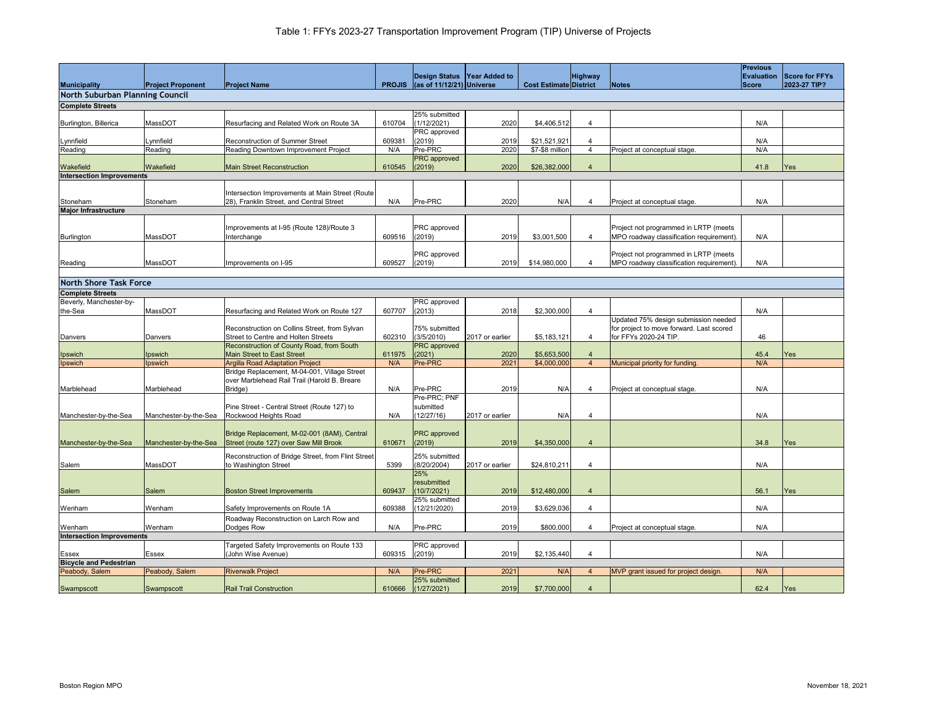|                                               |                          |                                                    |               |                                            | Design Status   Year Added to |                               | <b>Highway</b>           |                                          | <b>Previous</b> | <b>Evaluation Score for FFYs</b> |  |
|-----------------------------------------------|--------------------------|----------------------------------------------------|---------------|--------------------------------------------|-------------------------------|-------------------------------|--------------------------|------------------------------------------|-----------------|----------------------------------|--|
| <b>Municipality</b>                           | <b>Project Proponent</b> | <b>Project Name</b>                                | <b>PROJIS</b> | $\left  \right $ (as of 11/12/21) Universe |                               | <b>Cost Estimate District</b> |                          | Notes                                    | Score           | 2023-27 TIP?                     |  |
| North Suburban Planning Council               |                          |                                                    |               |                                            |                               |                               |                          |                                          |                 |                                  |  |
|                                               |                          |                                                    |               |                                            |                               |                               |                          |                                          |                 |                                  |  |
| <b>Complete Streets</b>                       |                          |                                                    |               | 25% submitted                              |                               |                               |                          |                                          |                 |                                  |  |
| Burlington, Billerica                         | MassDOT                  | Resurfacing and Related Work on Route 3A           | 610704        | (1/12/2021)                                | 2020                          | \$4,406,512                   |                          |                                          | N/A             |                                  |  |
|                                               |                          |                                                    |               | PRC approved                               |                               |                               |                          |                                          |                 |                                  |  |
| Lynnfield                                     | Lynnfield                | Reconstruction of Summer Street                    | 609381        | (2019)                                     | 2019                          | \$21,521,921                  |                          |                                          | N/A             |                                  |  |
| Reading                                       | Reading                  | Reading Downtown Improvement Project               | N/A           | Pre-PRC                                    | 2020                          | \$7-\$8 million               |                          | Project at conceptual stage.             | N/A             |                                  |  |
|                                               |                          |                                                    |               | <b>PRC</b> approved                        |                               |                               |                          |                                          |                 |                                  |  |
| Wakefield                                     | <b>Wakefield</b>         | <b>Main Street Reconstruction</b>                  | 610545        | (2019)                                     | 2020                          | \$26,382,000                  |                          |                                          | 41.8            | Yes                              |  |
| Intersection Improvements                     |                          |                                                    |               |                                            |                               |                               |                          |                                          |                 |                                  |  |
|                                               |                          |                                                    |               |                                            |                               |                               |                          |                                          |                 |                                  |  |
|                                               |                          | Intersection Improvements at Main Street (Route    |               |                                            |                               |                               |                          |                                          |                 |                                  |  |
| Stoneham                                      | Stoneham                 | 28), Franklin Street, and Central Street           | N/A           | Pre-PRC                                    | 2020                          | N/A                           |                          | Project at conceptual stage.             | N/A             |                                  |  |
| <b>Major Infrastructure</b>                   |                          |                                                    |               |                                            |                               |                               |                          |                                          |                 |                                  |  |
|                                               |                          | Improvements at I-95 (Route 128)/Route 3           |               | PRC approved                               |                               |                               |                          | Project not programmed in LRTP (meets    |                 |                                  |  |
| Burlington                                    | MassDOT                  | Interchange                                        | 609516        | (2019)                                     | 2019                          | \$3,001,500                   |                          | MPO roadway classification requirement). | N/A             |                                  |  |
|                                               |                          |                                                    |               |                                            |                               |                               |                          |                                          |                 |                                  |  |
|                                               |                          |                                                    |               | PRC approved                               |                               |                               |                          | Project not programmed in LRTP (meets    |                 |                                  |  |
| Reading                                       | MassDOT                  | Improvements on I-95                               | 609527        | (2019)                                     | 2019                          | \$14,980,000                  |                          | MPO roadway classification requirement). | N/A             |                                  |  |
|                                               |                          |                                                    |               |                                            |                               |                               |                          |                                          |                 |                                  |  |
| North Shore Task Force                        |                          |                                                    |               |                                            |                               |                               |                          |                                          |                 |                                  |  |
| <b>Complete Streets</b>                       |                          |                                                    |               |                                            |                               |                               |                          |                                          |                 |                                  |  |
| Beverly, Manchester-by-                       |                          |                                                    |               | PRC approved                               |                               |                               |                          |                                          |                 |                                  |  |
| the-Sea                                       | MassDOT                  | Resurfacing and Related Work on Route 127          | 607707        | (2013)                                     | 2018                          | \$2,300,000                   | $\boldsymbol{\varDelta}$ |                                          | N/A             |                                  |  |
|                                               |                          |                                                    |               |                                            |                               |                               |                          | Updated 75% design submission needed     |                 |                                  |  |
|                                               |                          | Reconstruction on Collins Street, from Sylvan      |               | 75% submitted                              |                               |                               |                          | for project to move forward. Last scored |                 |                                  |  |
| Danvers                                       | Danvers                  | Street to Centre and Holten Streets                | 602310        | (3/5/2010)                                 | 2017 or earlier               | \$5,183,121                   |                          | for FFYs 2020-24 TIP.                    | 46              |                                  |  |
|                                               |                          | Reconstruction of County Road, from South          |               | <b>PRC</b> approved                        |                               |                               |                          |                                          |                 |                                  |  |
| Ipswich                                       | <b>Ipswich</b>           | <b>Main Street to East Street</b>                  | 611975        | (2021)                                     | 2020                          | \$5,653,500                   |                          |                                          | 45.4            | Yes                              |  |
| Ipswich                                       | Ipswich                  | Argilla Road Adaptation Project                    | N/A           | Pre-PRC                                    | 2021                          | \$4,000,000                   | $\overline{4}$           | Municipal priority for funding.          | N/A             |                                  |  |
|                                               |                          | Bridge Replacement, M-04-001, Village Street       |               |                                            |                               |                               |                          |                                          |                 |                                  |  |
|                                               |                          | over Marblehead Rail Trail (Harold B. Breare       |               |                                            |                               |                               |                          |                                          |                 |                                  |  |
| Marblehead                                    | Marblehead               | Bridge)                                            | N/A           | Pre-PRC                                    | 2019                          | N/A                           |                          | Project at conceptual stage.             | N/A             |                                  |  |
|                                               |                          |                                                    |               | Pre-PRC; PNF                               |                               |                               |                          |                                          |                 |                                  |  |
|                                               |                          | Pine Street - Central Street (Route 127) to        |               | submitted                                  |                               |                               |                          |                                          |                 |                                  |  |
| Manchester-by-the-Sea                         | Manchester-by-the-Sea    | Rockwood Heights Road                              | N/A           | (12/27/16)                                 | 2017 or earlier               | N/A                           |                          |                                          | N/A             |                                  |  |
|                                               |                          |                                                    |               |                                            |                               |                               |                          |                                          |                 |                                  |  |
|                                               |                          | Bridge Replacement, M-02-001 (8AM), Central        |               | <b>PRC</b> approved                        |                               |                               |                          |                                          |                 |                                  |  |
| Manchester-by-the-Sea                         | Manchester-by-the-Sea    | Street (route 127) over Saw Mill Brook             | 610671        | (2019)                                     | 2019                          | \$4,350,000                   |                          |                                          | 34.8            | Yes                              |  |
|                                               |                          | Reconstruction of Bridge Street, from Flint Street |               | 25% submitted                              |                               |                               |                          |                                          |                 |                                  |  |
| Salem                                         | MassDOT                  | to Washington Street                               | 5399          | (8/20/2004)                                | 2017 or earlier               | \$24,810,211                  |                          |                                          | N/A             |                                  |  |
|                                               |                          |                                                    |               | 25%                                        |                               |                               |                          |                                          |                 |                                  |  |
|                                               |                          |                                                    |               | resubmitted                                |                               |                               |                          |                                          |                 |                                  |  |
| Salem                                         | <b>Salem</b>             | <b>Boston Street Improvements</b>                  | 609437        | (10/7/2021)                                | 2019                          | \$12,480,000                  |                          |                                          | 56.1            | <b>Yes</b>                       |  |
|                                               |                          |                                                    |               | 25% submitted                              |                               |                               |                          |                                          |                 |                                  |  |
| Wenham                                        | Wenham                   | Safety Improvements on Route 1A                    | 609388        | (12/21/2020)                               | 2019                          | \$3,629,036                   |                          |                                          | N/A             |                                  |  |
|                                               |                          | Roadway Reconstruction on Larch Row and            |               |                                            |                               |                               |                          |                                          |                 |                                  |  |
| Wenham                                        | Wenham                   | Dodges Row                                         | N/A           | Pre-PRC                                    | 2019                          | \$800,000                     |                          | Project at conceptual stage.             | N/A             |                                  |  |
| Intersection Improvements                     |                          |                                                    |               |                                            |                               |                               |                          |                                          |                 |                                  |  |
|                                               |                          | Targeted Safety Improvements on Route 133          |               | PRC approved                               |                               |                               |                          |                                          |                 |                                  |  |
| <b>Essex</b><br><b>Bicycle and Pedestrian</b> | <b>Essex</b>             | (John Wise Avenue)                                 | 609315        | (2019)                                     | 2019                          | \$2,135,440                   |                          |                                          | N/A             |                                  |  |
| Peabody, Salem                                | Peabody, Salem           | <b>Riverwalk Project</b>                           | N/A           | <b>Pre-PRC</b>                             | 2021                          | N/A                           |                          | MVP grant issued for project design.     | N/A             |                                  |  |
|                                               |                          |                                                    |               | 25% submitted                              |                               |                               |                          |                                          |                 |                                  |  |
| Swampscott                                    | Swampscott               | <b>Rail Trail Construction</b>                     | 610666        | (1/27/2021)                                | 2019                          | \$7,700,000                   |                          |                                          | 62.4            | Yes                              |  |
|                                               |                          |                                                    |               |                                            |                               |                               |                          |                                          |                 |                                  |  |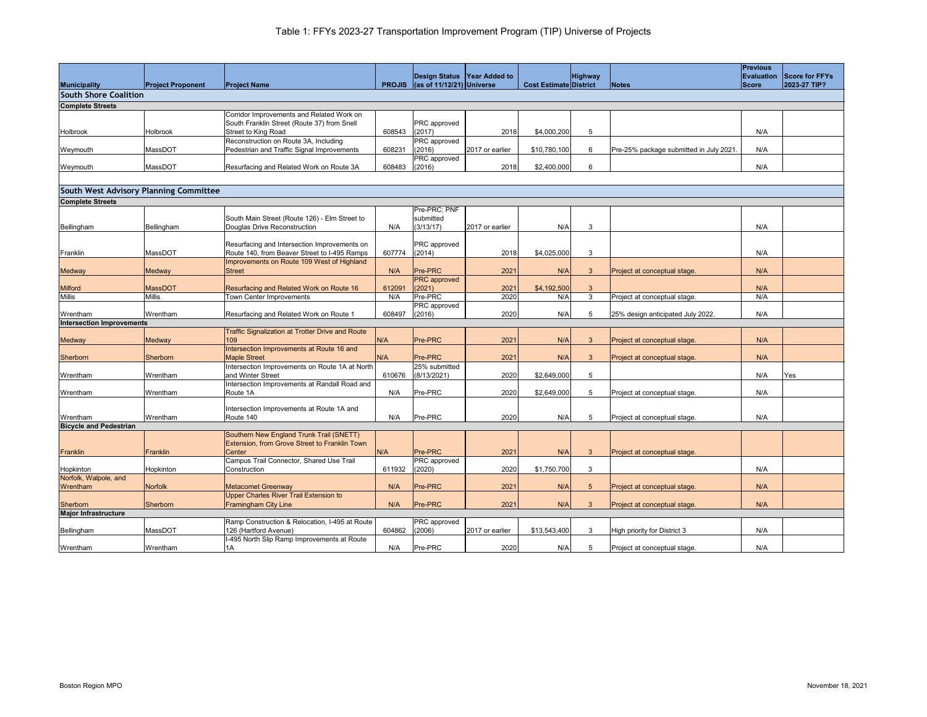|                                               |                          |                                                                |               |                                            |                 |                               |                |                                         | <b>Previous</b> |                |
|-----------------------------------------------|--------------------------|----------------------------------------------------------------|---------------|--------------------------------------------|-----------------|-------------------------------|----------------|-----------------------------------------|-----------------|----------------|
|                                               |                          |                                                                |               | Design Status Year Added to                |                 |                               | <b>Highway</b> |                                         | Evaluation      | Score for FFYs |
| <b>Municipality</b>                           | <b>Project Proponent</b> | <b>Project Name</b>                                            | <b>PROJIS</b> | $\left  \right $ (as of 11/12/21) Universe |                 | <b>Cost Estimate District</b> |                | <b>Notes</b>                            | <b>Score</b>    | 2023-27 TIP?   |
| <b>South Shore Coalition</b>                  |                          |                                                                |               |                                            |                 |                               |                |                                         |                 |                |
|                                               |                          |                                                                |               |                                            |                 |                               |                |                                         |                 |                |
| <b>Complete Streets</b>                       |                          | Corridor Improvements and Related Work on                      |               |                                            |                 |                               |                |                                         |                 |                |
|                                               |                          | South Franklin Street (Route 37) from Snell                    |               | <b>PRC</b> approved                        |                 |                               |                |                                         |                 |                |
| Holbrook                                      | Holbrook                 | Street to King Road                                            | 608543        | (2017)                                     | 2018            | \$4,000,200                   | 5              |                                         | N/A             |                |
|                                               |                          | Reconstruction on Route 3A, Including                          |               | <b>PRC</b> approved                        |                 |                               |                |                                         |                 |                |
| Weymouth                                      | MassDOT                  | Pedestrian and Traffic Signal Improvements                     | 608231        | (2016)                                     | 2017 or earlier | \$10,780,100                  | 6              | Pre-25% package submitted in July 2021. | N/A             |                |
|                                               |                          |                                                                |               | PRC approved                               |                 |                               |                |                                         |                 |                |
| Weymouth                                      | MassDOT                  | Resurfacing and Related Work on Route 3A                       | 608483        | (2016)                                     | 2018            | \$2,400,000                   | 6              |                                         | N/A             |                |
|                                               |                          |                                                                |               |                                            |                 |                               |                |                                         |                 |                |
| <b>South West Advisory Planning Committee</b> |                          |                                                                |               |                                            |                 |                               |                |                                         |                 |                |
|                                               |                          |                                                                |               |                                            |                 |                               |                |                                         |                 |                |
| <b>Complete Streets</b>                       |                          |                                                                |               |                                            |                 |                               |                |                                         |                 |                |
|                                               |                          | South Main Street (Route 126) - Elm Street to                  |               | Pre-PRC; PNF<br>submitted                  |                 |                               |                |                                         |                 |                |
| Bellingham                                    | Bellingham               | Douglas Drive Reconstruction                                   | N/A           | (3/13/17)                                  | 2017 or earlier | N/A                           | 3              |                                         | N/A             |                |
|                                               |                          |                                                                |               |                                            |                 |                               |                |                                         |                 |                |
|                                               |                          | Resurfacing and Intersection Improvements on                   |               | <b>PRC</b> approved                        |                 |                               |                |                                         |                 |                |
| Franklin                                      | MassDOT                  | Route 140, from Beaver Street to I-495 Ramps                   | 607774        | (2014)                                     | 2018            | \$4,025,000                   | $\mathbf{3}$   |                                         | N/A             |                |
|                                               |                          | Improvements on Route 109 West of Highland                     |               |                                            |                 |                               |                |                                         |                 |                |
| Medway                                        | <b>Medway</b>            | <b>IStreet</b>                                                 | N/A           | Pre-PRC                                    | 2021            | N/A                           | $\mathbf{3}$   | Project at conceptual stage.            | N/A             |                |
|                                               |                          |                                                                |               | <b>PRC</b> approved                        |                 |                               |                |                                         |                 |                |
| <b>Milford</b>                                | <b>MassDOT</b>           | Resurfacing and Related Work on Route 16                       | 612091        | (2021)                                     | 2021            | \$4,192,500                   | 3              |                                         | N/A             |                |
| <b>Millis</b>                                 | <b>Millis</b>            | Town Center Improvements                                       | N/A           | Pre-PRC                                    | 2020            | N/A                           | 3              | Project at conceptual stage.            | N/A             |                |
|                                               |                          |                                                                |               | <b>PRC</b> approved                        |                 |                               |                |                                         |                 |                |
| Wrentham                                      | Wrentham                 | Resurfacing and Related Work on Route 1                        | 608497        | (2016)                                     | 2020            | N/A                           |                | 25% design anticipated July 2022.       | N/A             |                |
| <b>Intersection Improvements</b>              |                          |                                                                |               |                                            |                 |                               |                |                                         |                 |                |
|                                               | <b>Medway</b>            | <b>Traffic Signalization at Trotter Drive and Route</b><br>109 | N/A           | Pre-PRC                                    | 2021            | N/A                           | 3              | Project at conceptual stage.            | N/A             |                |
| <b>Medway</b>                                 |                          | Intersection Improvements at Route 16 and                      |               |                                            |                 |                               |                |                                         |                 |                |
| Sherborn                                      | Sherborn                 | <b>Maple Street</b>                                            | N/A           | Pre-PRC                                    | 2021            | N/A                           | 3              | Project at conceptual stage.            | N/A             |                |
|                                               |                          | Intersection Improvements on Route 1A at North                 |               | 25% submitted                              |                 |                               |                |                                         |                 |                |
| Wrentham                                      | Wrentham                 | and Winter Street                                              | 610676        | (8/13/2021)                                | 2020            | \$2,649,000                   | 5              |                                         | N/A             | Yes            |
|                                               |                          | Intersection Improvements at Randall Road and                  |               |                                            |                 |                               |                |                                         |                 |                |
| Wrentham                                      | Wrentham                 | Route 1A                                                       | N/A           | Pre-PRC                                    | 2020            | \$2,649,000                   | -5             | Project at conceptual stage.            | N/A             |                |
|                                               |                          |                                                                |               |                                            |                 |                               |                |                                         |                 |                |
|                                               |                          | Intersection Improvements at Route 1A and                      |               |                                            |                 |                               |                |                                         |                 |                |
| Wrentham                                      | Wrentham                 | Route 140                                                      | N/A           | <b>Pre-PRC</b>                             | 2020            | N/A                           | -5             | Project at conceptual stage.            | N/A             |                |
| <b>Bicycle and Pedestrian</b>                 |                          | Southern New England Trunk Trail (SNETT)                       |               |                                            |                 |                               |                |                                         |                 |                |
|                                               |                          | Extension, from Grove Street to Franklin Town                  |               |                                            |                 |                               |                |                                         |                 |                |
| Franklin                                      | Franklin                 | Center                                                         | N/A           | Pre-PRC                                    | 2021            | N/A                           | 3              | Project at conceptual stage.            |                 |                |
|                                               |                          | Campus Trail Connector, Shared Use Trail                       |               | PRC approved                               |                 |                               |                |                                         |                 |                |
| Hopkinton                                     | Hopkinton                | Construction                                                   | 611932        | (2020)                                     | 2020            | \$1,750,700                   | 3              |                                         | N/A             |                |
| Norfolk, Walpole, and                         |                          |                                                                |               |                                            |                 |                               |                |                                         |                 |                |
| Wrentham                                      | <b>Norfolk</b>           | <b>Metacomet Greenway</b>                                      | N/A           | Pre-PRC                                    | 2021            | N/A                           | -5             | Project at conceptual stage.            | N/A             |                |
|                                               |                          | <b>Upper Charles River Trail Extension to</b>                  |               |                                            |                 |                               |                |                                         |                 |                |
| Sherborn                                      | Sherborn                 | <b>Framingham City Line</b>                                    | N/A           | Pre-PRC                                    | 2021            | N/A                           |                | Project at conceptual stage.            | N/A             |                |
| <b>Major Infrastructure</b>                   |                          |                                                                |               |                                            |                 |                               |                |                                         |                 |                |
|                                               |                          | Ramp Construction & Relocation, I-495 at Route                 |               | <b>PRC</b> approved                        |                 |                               |                |                                         |                 |                |
| Bellingham                                    | MassDOT                  | 126 (Hartford Avenue)                                          | 604862        | (2006)                                     | 2017 or earlier | \$13,543,400                  | $\mathbf{3}$   | High priority for District 3            | N/A             |                |
|                                               |                          | -495 North Slip Ramp Improvements at Route                     |               | Pre-PRC                                    | 2020            | N/A                           | -5             |                                         |                 |                |
| Wrentham                                      | Wrentham                 | 1A                                                             | N/A           |                                            |                 |                               |                | Project at conceptual stage.            | N/A             |                |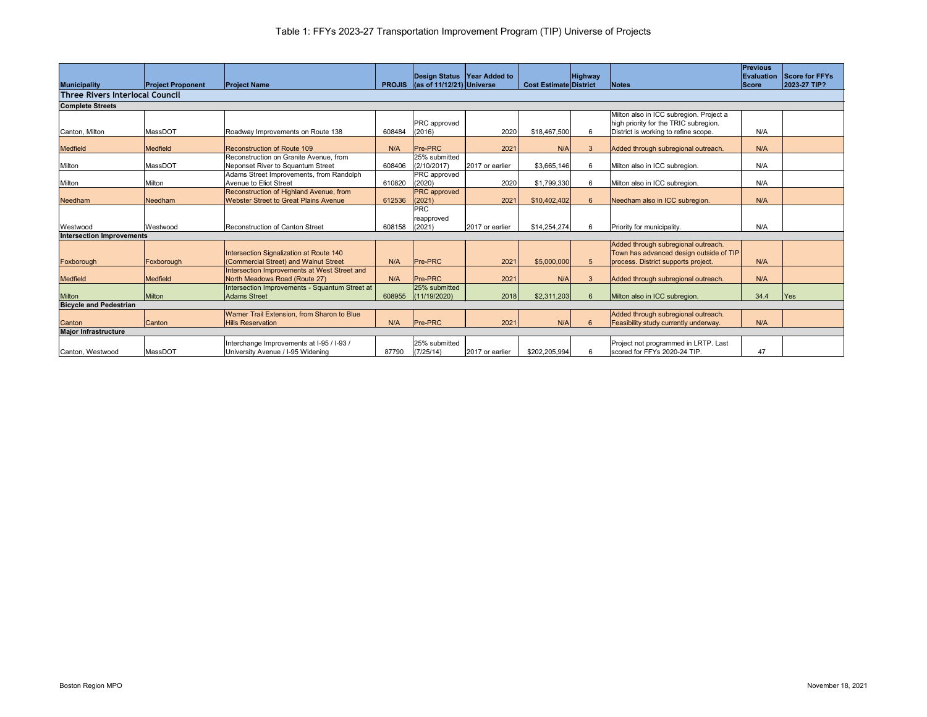|                                        |                          |                                                |               |                                            |                 |                               |                 |                                         | <b>Previous</b>   |                |
|----------------------------------------|--------------------------|------------------------------------------------|---------------|--------------------------------------------|-----------------|-------------------------------|-----------------|-----------------------------------------|-------------------|----------------|
|                                        |                          |                                                |               | Design Status Year Added to                |                 |                               | <b>Highway</b>  |                                         | <b>Evaluation</b> | Score for FFYs |
| <b>Municipality</b>                    | <b>Project Proponent</b> | <b>Project Name</b>                            | <b>PROJIS</b> | $\left  \right $ (as of 11/12/21) Universe |                 | <b>Cost Estimate District</b> |                 | Notes                                   | <b>Score</b>      | 2023-27 TIP?   |
| <b>Three Rivers Interlocal Council</b> |                          |                                                |               |                                            |                 |                               |                 |                                         |                   |                |
| <b>Complete Streets</b>                |                          |                                                |               |                                            |                 |                               |                 |                                         |                   |                |
|                                        |                          |                                                |               |                                            |                 |                               |                 | Milton also in ICC subregion. Project a |                   |                |
|                                        |                          |                                                |               | <b>PRC</b> approved                        |                 |                               |                 | high priority for the TRIC subregion.   |                   |                |
| Canton, Milton                         | MassDOT                  | Roadway Improvements on Route 138              | 608484        | (2016)                                     | 2020            | \$18,467,500                  | 6               | District is working to refine scope.    | N/A               |                |
|                                        |                          |                                                |               |                                            |                 |                               |                 |                                         |                   |                |
| <b>Medfield</b>                        | <b>Medfield</b>          | Reconstruction of Route 109                    | N/A           | <b>Pre-PRC</b>                             | 2021            | N/A                           | 3               | Added through subregional outreach.     | N/A               |                |
|                                        |                          | Reconstruction on Granite Avenue, from         |               | 25% submitted                              |                 |                               |                 |                                         |                   |                |
| Milton                                 | MassDOT                  | Neponset River to Squantum Street              | 608406        | (2/10/2017)                                | 2017 or earlier | \$3,665,146                   | 6               | Milton also in ICC subregion.           | N/A               |                |
|                                        |                          | Adams Street Improvements, from Randolph       |               | <b>PRC</b> approved                        |                 |                               |                 |                                         |                   |                |
| Milton                                 | Milton                   | Avenue to Eliot Street                         | 610820        | (2020)                                     | 2020            | \$1,799,330                   | 6               | Milton also in ICC subregion.           | N/A               |                |
|                                        |                          | Reconstruction of Highland Avenue, from        |               | <b>PRC</b> approved                        |                 |                               |                 |                                         |                   |                |
| Needham                                | Needham                  | <b>Webster Street to Great Plains Avenue</b>   | 612536        | (2021)                                     | 2021            | \$10,402,402                  | $6\phantom{1}6$ | Needham also in ICC subregion.          | N/A               |                |
|                                        |                          |                                                |               | <b>PRC</b>                                 |                 |                               |                 |                                         |                   |                |
|                                        |                          |                                                |               | reapproved                                 |                 |                               |                 |                                         |                   |                |
| Westwood                               | Westwood                 | <b>Reconstruction of Canton Street</b>         | 608158        | (2021)                                     | 2017 or earlier | \$14,254,274                  | 6               | Priority for municipality.              | N/A               |                |
| <b>Intersection Improvements</b>       |                          |                                                |               |                                            |                 |                               |                 |                                         |                   |                |
|                                        |                          |                                                |               |                                            |                 |                               |                 | Added through subregional outreach.     |                   |                |
|                                        |                          | Intersection Signalization at Route 140        |               |                                            |                 |                               |                 | Town has advanced design outside of TIP |                   |                |
| Foxborough                             | Foxborough               | (Commercial Street) and Walnut Street          | N/A           | <b>Pre-PRC</b>                             | 2021            | \$5,000,000                   | $5\overline{5}$ | process. District supports project.     | N/A               |                |
|                                        |                          | Intersection Improvements at West Street and   |               |                                            |                 |                               |                 |                                         |                   |                |
| Medfield                               | <b>Medfield</b>          | North Meadows Road (Route 27)                  | N/A           | <b>Pre-PRC</b>                             | 2021            | N/A                           | 3               | Added through subregional outreach.     | N/A               |                |
|                                        |                          | Intersection Improvements - Squantum Street at |               | 25% submitted                              |                 |                               |                 |                                         |                   |                |
| <b>Milton</b>                          | <b>Milton</b>            | <b>Adams Street</b>                            | 608955        | (11/19/2020)                               | 2018            | \$2,311,203                   | -6              | Milton also in ICC subregion.           | 34.4              | Yes            |
| <b>Bicycle and Pedestrian</b>          |                          |                                                |               |                                            |                 |                               |                 |                                         |                   |                |
|                                        |                          | Warner Trail Extension, from Sharon to Blue    |               |                                            |                 |                               |                 | Added through subregional outreach.     |                   |                |
| Canton                                 | Canton                   | <b>Hills Reservation</b>                       | N/A           | <b>Pre-PRC</b>                             | 2021            | N/A                           |                 | Feasibility study currently underway.   | N/A               |                |
| <b>Major Infrastructure</b>            |                          |                                                |               |                                            |                 |                               |                 |                                         |                   |                |
|                                        |                          | Interchange Improvements at I-95 / I-93 /      |               | 25% submitted                              |                 |                               |                 | Project not programmed in LRTP. Last    |                   |                |
| Canton, Westwood                       | MassDOT                  | University Avenue / I-95 Widening              | 87790         | (7/25/14)                                  | 2017 or earlier | \$202,205,994                 | 6               | scored for FFYs 2020-24 TIP.            | 47                |                |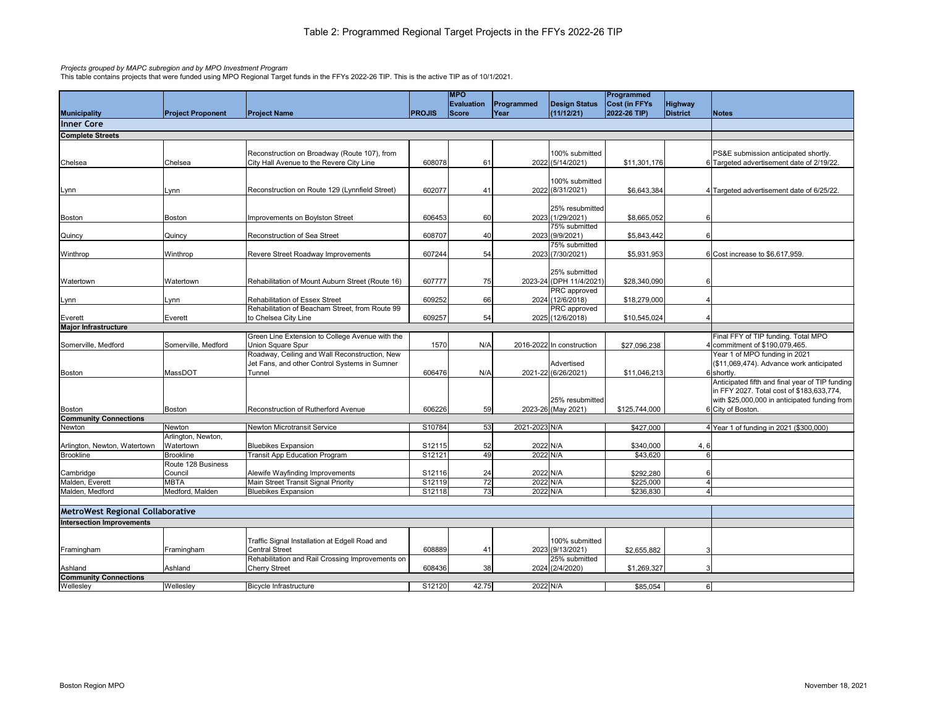|                                         |                              |                                                                         |               | <b>MPO</b>        |               |                                   | Programmed    |                 |                                                 |
|-----------------------------------------|------------------------------|-------------------------------------------------------------------------|---------------|-------------------|---------------|-----------------------------------|---------------|-----------------|-------------------------------------------------|
|                                         |                              |                                                                         |               | <b>Evaluation</b> | Programmed    | <b>Design Status</b>              | Cost (in FFYs | <b>Highway</b>  |                                                 |
| <b>Municipality</b>                     | <b>Project Proponent</b>     | <b>Project Name</b>                                                     | <b>PROJIS</b> | Score             | Year          | (11/12/21)                        | 2022-26 TIP)  | <b>District</b> | Notes                                           |
| <b>Inner Core</b>                       |                              |                                                                         |               |                   |               |                                   |               |                 |                                                 |
| <b>Complete Streets</b>                 |                              |                                                                         |               |                   |               |                                   |               |                 |                                                 |
|                                         |                              |                                                                         |               |                   |               |                                   |               |                 |                                                 |
|                                         |                              | Reconstruction on Broadway (Route 107), from                            |               |                   |               | 100% submitted                    |               |                 | PS&E submission anticipated shortly.            |
| Chelsea                                 | Chelsea                      | City Hall Avenue to the Revere City Line                                | 608078        | 61                |               | 2022 (5/14/2021)                  | \$11,301,176  |                 | 6 Targeted advertisement date of 2/19/22.       |
|                                         |                              |                                                                         |               |                   |               |                                   |               |                 |                                                 |
|                                         |                              |                                                                         |               |                   |               | 100% submitted                    |               |                 |                                                 |
| Lynn                                    | Lynn                         | Reconstruction on Route 129 (Lynnfield Street)                          | 602077        | 41                |               | 2022 (8/31/2021)                  | \$6,643,384   |                 | 4 Targeted advertisement date of 6/25/22.       |
|                                         |                              |                                                                         |               |                   |               |                                   |               |                 |                                                 |
|                                         |                              |                                                                         |               |                   |               | 25% resubmitted                   |               |                 |                                                 |
| <b>Boston</b>                           | <b>Boston</b>                | Improvements on Boylston Street                                         | 606453        | 60                |               | 2023 (1/29/2021)                  | \$8,665,052   |                 |                                                 |
|                                         |                              |                                                                         |               |                   |               | 75% submitted                     |               |                 |                                                 |
| Quincy                                  | Quincy                       | Reconstruction of Sea Street                                            | 608707        | 40                |               | 2023 (9/9/2021)                   | \$5,843,442   |                 |                                                 |
|                                         |                              |                                                                         |               |                   |               | 75% submitted                     |               |                 |                                                 |
| Winthrop                                | Winthrop                     | Revere Street Roadway Improvements                                      | 607244        | 54                |               | 2023 (7/30/2021)                  | \$5,931,953   |                 | 6 Cost increase to \$6,617,959.                 |
|                                         |                              |                                                                         |               |                   |               |                                   |               |                 |                                                 |
|                                         |                              |                                                                         |               |                   |               | 25% submitted                     |               |                 |                                                 |
| Watertown                               | Watertown                    | Rehabilitation of Mount Auburn Street (Route 16)                        | 607777        | 75                |               | 2023-24 (DPH 11/4/2021)           | \$28,340,090  |                 |                                                 |
|                                         |                              |                                                                         |               |                   |               | <b>PRC</b> approved               |               |                 |                                                 |
| Lynn                                    | Lynn                         | <b>Rehabilitation of Essex Street</b>                                   | 609252        | 66                |               | 2024 (12/6/2018)                  | \$18,279,000  |                 |                                                 |
|                                         |                              | Rehabilitation of Beacham Street, from Route 99                         |               |                   |               | PRC approved                      |               |                 |                                                 |
| Everett                                 | Everett                      | to Chelsea City Line                                                    | 609257        | 54                |               | 2025 (12/6/2018)                  | \$10,545,024  |                 |                                                 |
| <b>Major Infrastructure</b>             |                              |                                                                         |               |                   |               |                                   |               |                 |                                                 |
|                                         |                              | Green Line Extension to College Avenue with the                         |               |                   |               |                                   |               |                 | Final FFY of TIP funding. Total MPO             |
| Somerville, Medford                     | Somerville, Medford          | Union Square Spur                                                       | 1570          | N/A               |               | 2016-2022 In construction         | \$27,096,238  |                 | 4 commitment of \$190,079,465.                  |
|                                         |                              | Roadway, Ceiling and Wall Reconstruction, New                           |               |                   |               |                                   |               |                 | Year 1 of MPO funding in 2021                   |
|                                         |                              | Jet Fans, and other Control Systems in Sumner                           |               |                   |               | Advertised                        |               |                 | (\$11,069,474). Advance work anticipated        |
| <b>Boston</b>                           | MassDOT                      | Tunnel                                                                  | 606476        | N/A               |               | 2021-22 (6/26/2021)               | \$11,046,213  |                 | 6 shortly.                                      |
|                                         |                              |                                                                         |               |                   |               |                                   |               |                 | Anticipated fifth and final year of TIP funding |
|                                         |                              |                                                                         |               |                   |               |                                   |               |                 | in FFY 2027. Total cost of \$183,633,774,       |
|                                         |                              |                                                                         |               |                   |               | 25% resubmitted                   |               |                 | with \$25,000,000 in anticipated funding from   |
| Boston                                  | <b>Boston</b>                | Reconstruction of Rutherford Avenue                                     | 606226        | 59                |               | 2023-26 (May 2021)                | \$125,744,000 |                 | 6 City of Boston.                               |
| <b>Community Connections</b>            |                              | <b>Newton Microtransit Service</b>                                      | S10784        |                   |               |                                   |               |                 |                                                 |
| Newton                                  | Newton<br>Arlington, Newton, |                                                                         |               | 53                | 2021-2023 N/A |                                   | \$427,000     |                 | 4 Year 1 of funding in 2021 (\$300,000)         |
| Arlington, Newton, Watertown            | Watertown                    | <b>Bluebikes Expansion</b>                                              | S12115        | 52                | 2022 N/A      |                                   | \$340,000     | 4,6             |                                                 |
| <b>Brookline</b>                        | <b>Brookline</b>             | <b>Transit App Education Program</b>                                    | S12121        | 49                | 2022 N/A      |                                   | \$43,620      |                 |                                                 |
|                                         | Route 128 Business           |                                                                         |               |                   |               |                                   |               |                 |                                                 |
| Cambridge                               | Council                      | Alewife Wayfinding Improvements                                         | S12116        | 24                | 2022 N/A      |                                   | \$292,280     |                 |                                                 |
| Malden, Everett                         | <b>MBTA</b>                  | <b>Main Street Transit Signal Priority</b>                              | S12119        | 72                | 2022 N/A      |                                   | \$225,000     |                 |                                                 |
| Malden, Medford                         | Medford, Malden              | <b>Bluebikes Expansion</b>                                              | S12118        | 73                | 2022 N/A      |                                   | \$236,830     |                 |                                                 |
|                                         |                              |                                                                         |               |                   |               |                                   |               |                 |                                                 |
| <b>MetroWest Regional Collaborative</b> |                              |                                                                         |               |                   |               |                                   |               |                 |                                                 |
|                                         |                              |                                                                         |               |                   |               |                                   |               |                 |                                                 |
| <b>Intersection Improvements</b>        |                              |                                                                         |               |                   |               |                                   |               |                 |                                                 |
|                                         |                              |                                                                         |               |                   |               |                                   |               |                 |                                                 |
|                                         |                              | Traffic Signal Installation at Edgell Road and<br><b>Central Street</b> |               |                   |               | 100% submitted                    |               |                 |                                                 |
| Framingham                              | Framingham                   | Rehabilitation and Rail Crossing Improvements on                        | 608889        | 41                |               | 2023 (9/13/2021)<br>25% submitted | \$2,655,882   |                 |                                                 |
| Ashland                                 | Ashland                      | <b>Cherry Street</b>                                                    | 608436        | 38                |               | 2024 (2/4/2020)                   | \$1,269,327   |                 |                                                 |
| <b>Community Connections</b>            |                              |                                                                         |               |                   |               |                                   |               |                 |                                                 |
| Wellesley                               | Wellesley                    | Bicycle Infrastructure                                                  | S12120        | 42.75             | 2022 N/A      |                                   | \$85,054      |                 | $6 \mid$                                        |
|                                         |                              |                                                                         |               |                   |               |                                   |               |                 |                                                 |

### *Projects grouped by MAPC subregion and by MPO Investment Program*

This table contains projects that were funded using MPO Regional Target funds in the FFYs 2022-26 TIP. This is the active TIP as of 10/1/2021.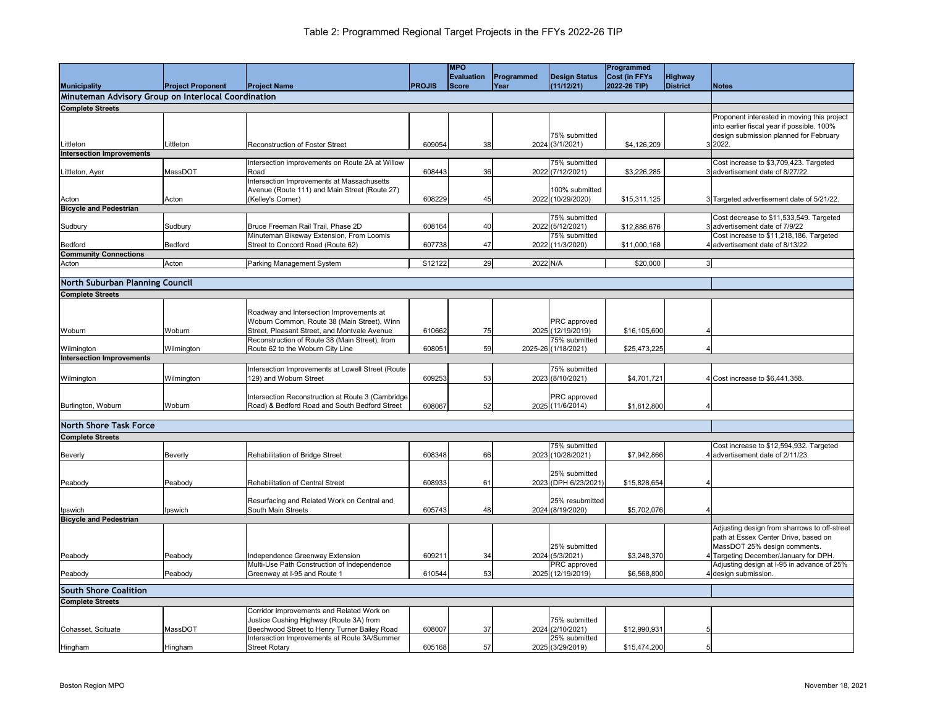|                                                     |                          |                                                   |               | <b>MPO</b>        |             |                      | Programmed           |                 |                                              |
|-----------------------------------------------------|--------------------------|---------------------------------------------------|---------------|-------------------|-------------|----------------------|----------------------|-----------------|----------------------------------------------|
|                                                     |                          |                                                   |               | <b>Evaluation</b> | Programmed  | <b>Design Status</b> | <b>Cost (in FFYs</b> | <b>Highway</b>  |                                              |
|                                                     |                          |                                                   |               |                   |             |                      | 2022-26 TIP)         |                 |                                              |
| <b>Municipality</b>                                 | <b>Project Proponent</b> | <b>Project Name</b>                               | <b>PROJIS</b> | Score             | <b>Year</b> | (11/12/21)           |                      | <b>District</b> | Notes                                        |
| Minuteman Advisory Group on Interlocal Coordination |                          |                                                   |               |                   |             |                      |                      |                 |                                              |
| <b>Complete Streets</b>                             |                          |                                                   |               |                   |             |                      |                      |                 |                                              |
|                                                     |                          |                                                   |               |                   |             |                      |                      |                 | Proponent interested in moving this project  |
|                                                     |                          |                                                   |               |                   |             |                      |                      |                 | into earlier fiscal year if possible. 100%   |
|                                                     |                          |                                                   |               |                   |             | 75% submitted        |                      |                 | design submission planned for February       |
| Littleton                                           | Littleton                | <b>Reconstruction of Foster Street</b>            | 609054        | 38                |             | 2024 (3/1/2021)      | \$4,126,209          |                 | 3 2022.                                      |
|                                                     |                          |                                                   |               |                   |             |                      |                      |                 |                                              |
| <b>Intersection Improvements</b>                    |                          |                                                   |               |                   |             |                      |                      |                 |                                              |
|                                                     |                          | Intersection Improvements on Route 2A at Willow   |               |                   |             | 75% submitted        |                      |                 | Cost increase to \$3,709,423. Targeted       |
| Littleton, Ayer                                     | MassDOT                  | <b>Road</b>                                       | 608443        | 36                |             | 2022 (7/12/2021)     | \$3,226,285          |                 | advertisement date of 8/27/22.               |
|                                                     |                          | Intersection Improvements at Massachusetts        |               |                   |             |                      |                      |                 |                                              |
|                                                     |                          | Avenue (Route 111) and Main Street (Route 27)     |               |                   |             | 100% submitted       |                      |                 |                                              |
| Acton                                               | Acton                    | (Kelley's Corner)                                 | 608229        | 45                |             | 2022 (10/29/2020)    | \$15,311,125         |                 | 3 Targeted advertisement date of 5/21/22.    |
| <b>Bicycle and Pedestrian</b>                       |                          |                                                   |               |                   |             |                      |                      |                 |                                              |
|                                                     |                          |                                                   |               |                   |             | 75% submitted        |                      |                 | Cost decrease to \$11,533,549. Targeted      |
| Sudbury                                             | Sudbury                  | Bruce Freeman Rail Trail, Phase 2D                | 608164        | 40                |             | 2022 (5/12/2021)     | \$12,886,676         |                 | 3 advertisement date of 7/9/22               |
|                                                     |                          | Minuteman Bikeway Extension, From Loomis          |               |                   |             | 75% submitted        |                      |                 | Cost increase to \$11,218,186. Targeted      |
| Bedford                                             | Bedford                  | Street to Concord Road (Route 62)                 | 607738        | 47                |             | 2022 (11/3/2020)     | \$11,000,168         |                 | 4 advertisement date of 8/13/22.             |
| <b>Community Connections</b>                        |                          |                                                   |               |                   |             |                      |                      |                 |                                              |
| Acton                                               | Acton                    | Parking Management System                         | S12122        | 29                | 2022 N/A    |                      | \$20,000             |                 | 3                                            |
|                                                     |                          |                                                   |               |                   |             |                      |                      |                 |                                              |
|                                                     |                          |                                                   |               |                   |             |                      |                      |                 |                                              |
| North Suburban Planning Council                     |                          |                                                   |               |                   |             |                      |                      |                 |                                              |
| <b>Complete Streets</b>                             |                          |                                                   |               |                   |             |                      |                      |                 |                                              |
|                                                     |                          |                                                   |               |                   |             |                      |                      |                 |                                              |
|                                                     |                          | Roadway and Intersection Improvements at          |               |                   |             |                      |                      |                 |                                              |
|                                                     |                          | Woburn Common, Route 38 (Main Street), Winn       |               |                   |             | <b>PRC</b> approved  |                      |                 |                                              |
| Woburn                                              | Woburn                   | Street, Pleasant Street, and Montvale Avenue      | 610662        | 75                |             | 2025 (12/19/2019)    | \$16,105,600         |                 |                                              |
|                                                     |                          | Reconstruction of Route 38 (Main Street), from    |               |                   |             | $75%$ submitted      |                      |                 |                                              |
|                                                     |                          | Route 62 to the Woburn City Line                  | 608051        |                   |             | 2025-26 (1/18/2021)  | \$25,473,225         |                 |                                              |
| Wilmington                                          | Wilmington               |                                                   |               | 59                |             |                      |                      |                 |                                              |
| <b>Intersection Improvements</b>                    |                          |                                                   |               |                   |             |                      |                      |                 |                                              |
|                                                     |                          | Intersection Improvements at Lowell Street (Route |               |                   |             | 75% submitted        |                      |                 |                                              |
| Wilmington                                          | Wilmington               | 129) and Woburn Street                            | 609253        | 53                |             | 2023 (8/10/2021)     | \$4,701,721          |                 | 4 Cost increase to \$6,441,358.              |
|                                                     |                          |                                                   |               |                   |             |                      |                      |                 |                                              |
|                                                     |                          | Intersection Reconstruction at Route 3 (Cambridge |               |                   |             | PRC approved         |                      |                 |                                              |
| Burlington, Woburn                                  | Woburn                   | Road) & Bedford Road and South Bedford Street     | 608067        | 52                |             | 2025 (11/6/2014)     | \$1,612,800          |                 |                                              |
|                                                     |                          |                                                   |               |                   |             |                      |                      |                 |                                              |
|                                                     |                          |                                                   |               |                   |             |                      |                      |                 |                                              |
| North Shore Task Force                              |                          |                                                   |               |                   |             |                      |                      |                 |                                              |
| <b>Complete Streets</b>                             |                          |                                                   |               |                   |             |                      |                      |                 |                                              |
|                                                     |                          |                                                   |               |                   |             | 75% submitted        |                      |                 | Cost increase to \$12,594,932. Targeted      |
| Beverly                                             | <b>Beverly</b>           | Rehabilitation of Bridge Street                   | 608348        | 66                |             | 2023 (10/28/2021)    | \$7,942,866          |                 | 4 advertisement date of 2/11/23.             |
|                                                     |                          |                                                   |               |                   |             |                      |                      |                 |                                              |
|                                                     |                          |                                                   |               |                   |             | 25% submitted        |                      |                 |                                              |
| Peabody                                             | Peabody                  | Rehabilitation of Central Street                  | 608933        | 61                |             | 2023 (DPH 6/23/2021) | \$15,828,654         |                 |                                              |
|                                                     |                          |                                                   |               |                   |             |                      |                      |                 |                                              |
|                                                     |                          | Resurfacing and Related Work on Central and       |               |                   |             | 25% resubmitted      |                      |                 |                                              |
| Ipswich                                             | Ipswich                  | South Main Streets                                | 605743        | 48                |             | 2024 (8/19/2020)     | \$5,702,076          |                 |                                              |
| <b>Bicycle and Pedestrian</b>                       |                          |                                                   |               |                   |             |                      |                      |                 |                                              |
|                                                     |                          |                                                   |               |                   |             |                      |                      |                 |                                              |
|                                                     |                          |                                                   |               |                   |             |                      |                      |                 | Adjusting design from sharrows to off-street |
|                                                     |                          |                                                   |               |                   |             |                      |                      |                 | path at Essex Center Drive, based on         |
|                                                     |                          |                                                   |               |                   |             | 25% submitted        |                      |                 | MassDOT 25% design comments.                 |
| Peabody                                             | Peabody                  | Independence Greenway Extension                   | 609211        | 34                |             | 2024 (5/3/2021)      | \$3,248,370          |                 | 4 Targeting December/January for DPH.        |
|                                                     |                          | Multi-Use Path Construction of Independence       |               |                   |             | <b>PRC</b> approved  |                      |                 | Adjusting design at I-95 in advance of 25%   |
| Peabody                                             | Peabody                  | Greenway at I-95 and Route 1                      | 610544        | 53                |             | 2025 (12/19/2019)    | \$6,568,800          |                 | 4 design submission.                         |
|                                                     |                          |                                                   |               |                   |             |                      |                      |                 |                                              |
| <b>South Shore Coalition</b>                        |                          |                                                   |               |                   |             |                      |                      |                 |                                              |
| <b>Complete Streets</b>                             |                          |                                                   |               |                   |             |                      |                      |                 |                                              |
|                                                     |                          | Corridor Improvements and Related Work on         |               |                   |             |                      |                      |                 |                                              |
|                                                     |                          | Justice Cushing Highway (Route 3A) from           |               |                   |             | 75% submitted        |                      |                 |                                              |
| Cohasset, Scituate                                  | MassDOT                  | Beechwood Street to Henry Turner Bailey Road      | 608007        | 37                |             | 2024 (2/10/2021)     | \$12,990,931         |                 |                                              |
|                                                     |                          | Intersection Improvements at Route 3A/Summer      |               |                   |             | 25% submitted        |                      |                 |                                              |
| Hingham                                             | Hingham                  | <b>Street Rotary</b>                              | 605168        | 57                |             | 2025 (3/29/2019)     | \$15,474,200         |                 |                                              |
|                                                     |                          |                                                   |               |                   |             |                      |                      |                 |                                              |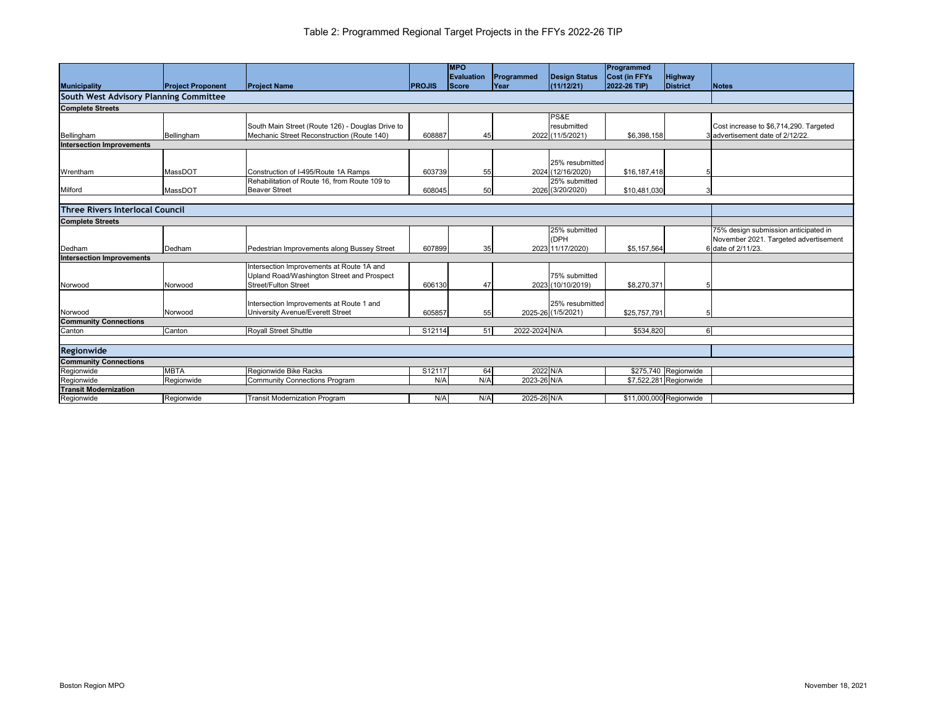|                                        |                          |                                                  |               | <b>MPO</b>   |               |                      | Programmed              |                        |                                        |
|----------------------------------------|--------------------------|--------------------------------------------------|---------------|--------------|---------------|----------------------|-------------------------|------------------------|----------------------------------------|
|                                        |                          |                                                  |               | Evaluation   | Programmed    | <b>Design Status</b> | <b>Cost (in FFYs</b>    | <b>Highway</b>         |                                        |
| <b>Municipality</b>                    | <b>Project Proponent</b> | <b>Project Name</b>                              | <b>PROJIS</b> | <b>Score</b> | Year          | (11/12/21)           | 2022-26 TIP)            | <b>District</b>        | Notes                                  |
| South West Advisory Planning Committee |                          |                                                  |               |              |               |                      |                         |                        |                                        |
| <b>Complete Streets</b>                |                          |                                                  |               |              |               |                      |                         |                        |                                        |
|                                        |                          |                                                  |               |              |               | PS&E                 |                         |                        |                                        |
|                                        |                          | South Main Street (Route 126) - Douglas Drive to |               |              |               | resubmitted          |                         |                        | Cost increase to \$6,714,290. Targeted |
| Bellingham                             | Bellingham               | Mechanic Street Reconstruction (Route 140)       | 608887        | 45           |               | 2022 (11/5/2021)     | \$6,398,158             |                        | 3 advertisement date of 2/12/22.       |
| <b>Intersection Improvements</b>       |                          |                                                  |               |              |               |                      |                         |                        |                                        |
|                                        |                          |                                                  |               |              |               |                      |                         |                        |                                        |
|                                        |                          |                                                  |               |              |               | 25% resubmitted      |                         |                        |                                        |
| Wrentham                               | MassDOT                  | Construction of I-495/Route 1A Ramps             | 603739        | 55           |               | 2024 (12/16/2020)    | \$16, 187, 418          |                        |                                        |
|                                        |                          | Rehabilitation of Route 16, from Route 109 to    |               |              |               | 25% submitted        |                         |                        |                                        |
| Milford                                | MassDOT                  | <b>Beaver Street</b>                             | 608045        | 50           |               | 2026 (3/20/2020)     | \$10,481,030            |                        |                                        |
|                                        |                          |                                                  |               |              |               |                      |                         |                        |                                        |
| <b>Three Rivers Interlocal Council</b> |                          |                                                  |               |              |               |                      |                         |                        |                                        |
| <b>Complete Streets</b>                |                          |                                                  |               |              |               |                      |                         |                        |                                        |
|                                        |                          |                                                  |               |              |               | 25% submitted        |                         |                        | 75% design submission anticipated in   |
|                                        |                          |                                                  |               |              |               | (DPH                 |                         |                        | November 2021. Targeted advertisement  |
| Dedham                                 | Dedham                   | Pedestrian Improvements along Bussey Street      | 607899        | 35           |               | 2023 11/17/2020)     | \$5,157,564             |                        | 6 date of 2/11/23.                     |
| <b>Intersection Improvements</b>       |                          |                                                  |               |              |               |                      |                         |                        |                                        |
|                                        |                          | Intersection Improvements at Route 1A and        |               |              |               |                      |                         |                        |                                        |
|                                        |                          | Upland Road/Washington Street and Prospect       |               |              |               | 75% submitted        |                         |                        |                                        |
| Norwood                                | Norwood                  | <b>Street/Fulton Street</b>                      | 606130        | 47           |               | 2023 (10/10/2019)    | \$8,270,371             |                        |                                        |
|                                        |                          |                                                  |               |              |               |                      |                         |                        |                                        |
|                                        |                          | Intersection Improvements at Route 1 and         |               |              |               | 25% resubmitted      |                         |                        |                                        |
| Norwood                                | Norwood                  | <b>University Avenue/Everett Street</b>          | 605857        | 55           |               | 2025-26 (1/5/2021)   | \$25,757,791            |                        |                                        |
| <b>Community Connections</b>           |                          |                                                  |               |              |               |                      |                         |                        |                                        |
| Canton                                 | Canton                   | <b>Royall Street Shuttle</b>                     | S12114        | 51           | 2022-2024 N/A |                      | \$534,820               | 6                      |                                        |
|                                        |                          |                                                  |               |              |               |                      |                         |                        |                                        |
| Regionwide                             |                          |                                                  |               |              |               |                      |                         |                        |                                        |
| <b>Community Connections</b>           |                          |                                                  |               |              |               |                      |                         |                        |                                        |
| Regionwide                             | <b>MBTA</b>              | Regionwide Bike Racks                            | S12117        | 64           | 2022 N/A      |                      |                         | \$275,740 Regionwide   |                                        |
| Regionwide                             | Regionwide               | <b>Community Connections Program</b>             | N/A           | N/A          | 2023-26 N/A   |                      |                         | \$7,522,281 Regionwide |                                        |
| <b>Transit Modernization</b>           |                          |                                                  |               |              |               |                      |                         |                        |                                        |
| Regionwide                             | Regionwide               | <b>Transit Modernization Program</b>             | N/A           | N/A          | 2025-26 N/A   |                      | \$11,000,000 Regionwide |                        |                                        |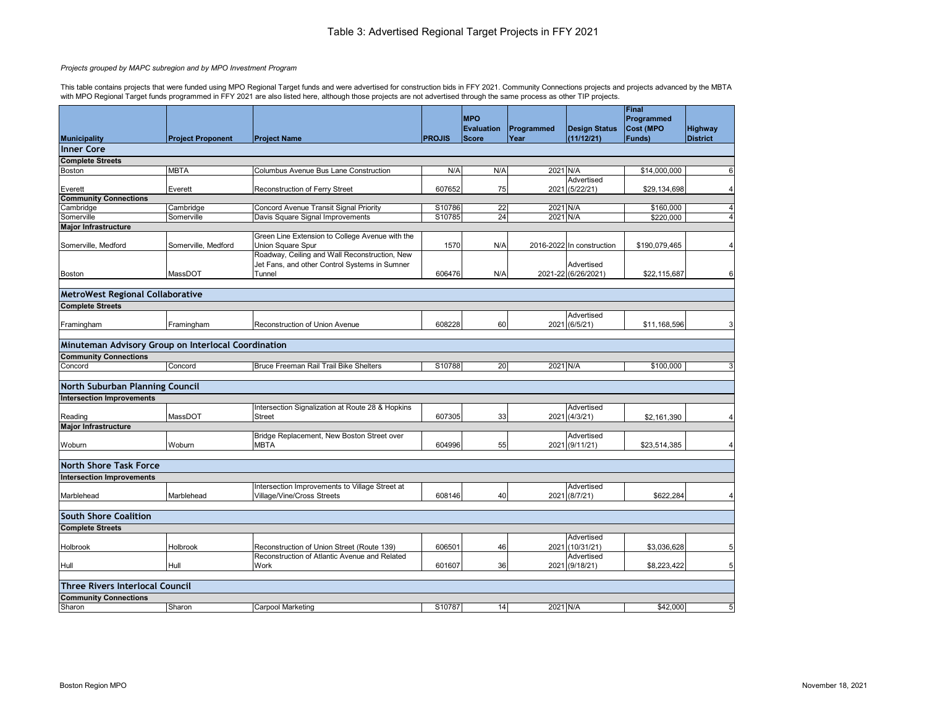|                                                     |                          |                                                                                                |               | <b>MPO</b>                        |                    |                                    | Final<br>Programmed        |                            |
|-----------------------------------------------------|--------------------------|------------------------------------------------------------------------------------------------|---------------|-----------------------------------|--------------------|------------------------------------|----------------------------|----------------------------|
|                                                     | <b>Project Proponent</b> | <b>Project Name</b>                                                                            | <b>PROJIS</b> | <b>Evaluation</b><br><b>Score</b> | Programmed<br>Year | <b>Design Status</b><br>(11/12/21) | <b>Cost (MPO</b><br>Funds) | Highway<br><b>District</b> |
| <b>Municipality</b>                                 |                          |                                                                                                |               |                                   |                    |                                    |                            |                            |
| Inner Core                                          |                          |                                                                                                |               |                                   |                    |                                    |                            |                            |
| <b>Complete Streets</b>                             |                          |                                                                                                |               |                                   |                    |                                    |                            |                            |
| Boston                                              | <b>MBTA</b>              | <b>Columbus Avenue Bus Lane Construction</b>                                                   | N/A           | N/A                               | 2021 N/A           |                                    | \$14,000,000               | 6                          |
| Everett                                             | Everett                  | <b>Reconstruction of Ferry Street</b>                                                          | 607652        | 75                                |                    | Advertised<br>2021 (5/22/21)       | \$29,134,698               | $\overline{4}$             |
| <b>Community Connections</b>                        |                          |                                                                                                |               |                                   |                    |                                    |                            |                            |
| Cambridge                                           | Cambridge                | Concord Avenue Transit Signal Priority                                                         | S10786        | 22                                | 2021 N/A           |                                    | \$160,000                  | $\overline{4}$             |
| Somerville                                          | Somerville               | Davis Square Signal Improvements                                                               | S10785        | 24                                | 2021 N/A           |                                    | \$220,000                  | $\overline{4}$             |
| <b>Major Infrastructure</b>                         |                          |                                                                                                |               |                                   |                    |                                    |                            |                            |
|                                                     |                          | Green Line Extension to College Avenue with the                                                |               |                                   |                    |                                    |                            |                            |
| Somerville, Medford                                 | Somerville, Medford      | Union Square Spur                                                                              | 1570          | N/A                               |                    | 2016-2022 In construction          | \$190,079,465              | $\overline{4}$             |
|                                                     |                          | Roadway, Ceiling and Wall Reconstruction, New<br>Jet Fans, and other Control Systems in Sumner |               |                                   |                    | Advertised                         |                            |                            |
| <b>Boston</b>                                       | MassDOT                  | Tunnel                                                                                         | 606476        | N/A                               |                    | 2021-22 (6/26/2021)                | \$22,115,687               | 6                          |
|                                                     |                          |                                                                                                |               |                                   |                    |                                    |                            |                            |
| <b>MetroWest Regional Collaborative</b>             |                          |                                                                                                |               |                                   |                    |                                    |                            |                            |
|                                                     |                          |                                                                                                |               |                                   |                    |                                    |                            |                            |
| <b>Complete Streets</b>                             |                          |                                                                                                |               |                                   |                    | Advertised                         |                            |                            |
| Framingham                                          | Framingham               | <b>Reconstruction of Union Avenue</b>                                                          | 608228        | 60                                |                    | 2021 (6/5/21)                      | \$11,168,596               | 3                          |
|                                                     |                          |                                                                                                |               |                                   |                    |                                    |                            |                            |
| Minuteman Advisory Group on Interlocal Coordination |                          |                                                                                                |               |                                   |                    |                                    |                            |                            |
| <b>Community Connections</b>                        |                          |                                                                                                |               |                                   |                    |                                    |                            |                            |
| Concord                                             | Concord                  | Bruce Freeman Rail Trail Bike Shelters                                                         | S10788        | 20                                | 2021 N/A           |                                    | \$100,000                  | 3                          |
| North Suburban Planning Council                     |                          |                                                                                                |               |                                   |                    |                                    |                            |                            |
| <b>Intersection Improvements</b>                    |                          |                                                                                                |               |                                   |                    |                                    |                            |                            |
|                                                     |                          | Intersection Signalization at Route 28 & Hopkins                                               |               |                                   |                    | Advertised                         |                            |                            |
| Reading                                             | MassDOT                  | <b>Street</b>                                                                                  | 607305        | 33                                |                    | 2021 (4/3/21)                      | \$2,161,390                | $\overline{4}$             |
| <b>Major Infrastructure</b>                         |                          |                                                                                                |               |                                   |                    |                                    |                            |                            |
|                                                     |                          | Bridge Replacement, New Boston Street over                                                     |               |                                   |                    | Advertised                         |                            |                            |
| Woburn                                              | Woburn                   | <b>MBTA</b>                                                                                    | 604996        | 55                                |                    | 2021 (9/11/21)                     | \$23,514,385               | $\overline{4}$             |
|                                                     |                          |                                                                                                |               |                                   |                    |                                    |                            |                            |
| <b>North Shore Task Force</b>                       |                          |                                                                                                |               |                                   |                    |                                    |                            |                            |
| <b>Intersection Improvements</b>                    |                          |                                                                                                |               |                                   |                    |                                    |                            |                            |
|                                                     |                          | Intersection Improvements to Village Street at                                                 |               |                                   |                    | Advertised                         |                            |                            |
| Marblehead                                          | Marblehead               | Village/Vine/Cross Streets                                                                     | 608146        | 40                                |                    | 2021 (8/7/21)                      | \$622,284                  | $\overline{4}$             |
|                                                     |                          |                                                                                                |               |                                   |                    |                                    |                            |                            |
| <b>South Shore Coalition</b>                        |                          |                                                                                                |               |                                   |                    |                                    |                            |                            |
| <b>Complete Streets</b>                             |                          |                                                                                                |               |                                   |                    |                                    |                            |                            |
|                                                     |                          |                                                                                                |               |                                   |                    | Advertised                         |                            |                            |
| Holbrook                                            | Holbrook                 | Reconstruction of Union Street (Route 139)                                                     | 606501        | 46                                |                    | 2021 (10/31/21)                    | \$3,036,628                | 5                          |
|                                                     |                          | Reconstruction of Atlantic Avenue and Related                                                  |               |                                   |                    | Advertised                         |                            |                            |
| Hull                                                | Hull                     | Work                                                                                           | 601607        | 36                                |                    | 2021 (9/18/21)                     | \$8,223,422                | $\overline{5}$             |
|                                                     |                          |                                                                                                |               |                                   |                    |                                    |                            |                            |
| <b>Three Rivers Interlocal Council</b>              |                          |                                                                                                |               |                                   |                    |                                    |                            |                            |
| <b>Community Connections</b>                        |                          |                                                                                                |               |                                   |                    |                                    |                            |                            |
| Sharon                                              | Sharon                   | <b>Carpool Marketing</b>                                                                       | S10787        | 14                                | 2021 N/A           |                                    | \$42,000                   | $\overline{5}$             |

## *Projects grouped by MAPC subregion and by MPO Investment Program*

This table contains projects that were funded using MPO Regional Target funds and were advertised for construction bids in FFY 2021. Community Connections projects and projects advanced by the MBTA with MPO Regional Target funds programmed in FFY 2021 are also listed here, although those projects are not advertised through the same process as other TIP projects.